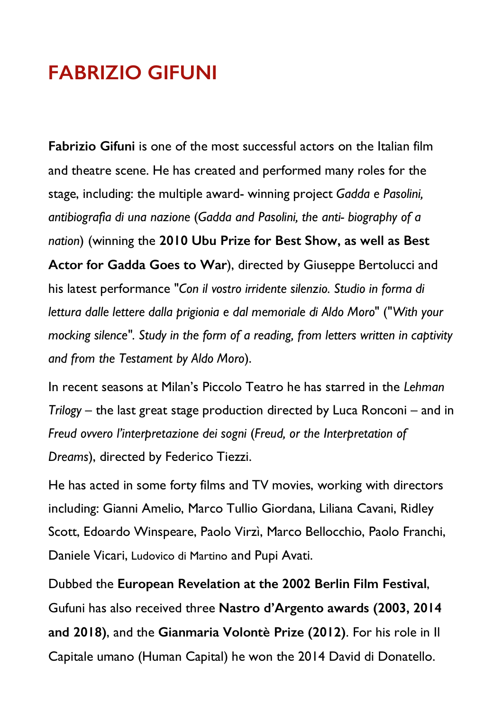## **FABRIZIO GIFUNI**

**Fabrizio Gifuni** is one of the most successful actors on the Italian film and theatre scene. He has created and performed many roles for the stage, including: the multiple award- winning project *Gadda e Pasolini, antibiografia di una nazione* (*Gadda and Pasolini, the anti- biography of a nation*) (winning the **2010 Ubu Prize for Best Show, as well as Best Actor for Gadda Goes to War**), directed by Giuseppe Bertolucci and his latest performance "*Con il vostro irridente silenzio. Studio in forma di lettura dalle lettere dalla prigionia e dal memoriale di Aldo Moro*" ("*With your mocking silence". Study in the form of a reading, from letters written in captivity and from the Testament by Aldo Moro*).

In recent seasons at Milan's Piccolo Teatro he has starred in the *Lehman Trilogy* – the last great stage production directed by Luca Ronconi – and in *Freud ovvero l'interpretazione dei sogni* (*Freud, or the Interpretation of Dreams*), directed by Federico Tiezzi.

He has acted in some forty films and TV movies, working with directors including: Gianni Amelio, Marco Tullio Giordana, Liliana Cavani, Ridley Scott, Edoardo Winspeare, Paolo Virzì, Marco Bellocchio, Paolo Franchi, Daniele Vicari, Ludovico di Martino and Pupi Avati.

Dubbed the **European Revelation at the 2002 Berlin Film Festival**, Gufuni has also received three **Nastro d'Argento awards (2003, 2014 and 2018)**, and the **Gianmaria Volontè Prize (2012)**. For his role in Il Capitale umano (Human Capital) he won the 2014 David di Donatello.